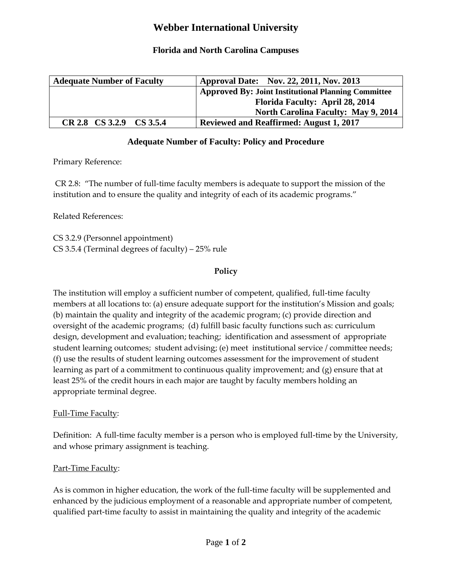# **Webber International University**

# **Florida and North Carolina Campuses**

| <b>Adequate Number of Faculty</b> | Approval Date: Nov. 22, 2011, Nov. 2013                    |
|-----------------------------------|------------------------------------------------------------|
|                                   | <b>Approved By: Joint Institutional Planning Committee</b> |
|                                   | <b>Florida Faculty: April 28, 2014</b>                     |
|                                   | <b>North Carolina Faculty: May 9, 2014</b>                 |
| CR 2.8 CS 3.2.9 CS 3.5.4          | <b>Reviewed and Reaffirmed: August 1, 2017</b>             |

# **Adequate Number of Faculty: Policy and Procedure**

Primary Reference:

CR 2.8: "The number of full-time faculty members is adequate to support the mission of the institution and to ensure the quality and integrity of each of its academic programs."

Related References:

CS 3.2.9 (Personnel appointment) CS 3.5.4 (Terminal degrees of faculty) – 25% rule

## **Policy**

The institution will employ a sufficient number of competent, qualified, full-time faculty members at all locations to: (a) ensure adequate support for the institution's Mission and goals; (b) maintain the quality and integrity of the academic program; (c) provide direction and oversight of the academic programs; (d) fulfill basic faculty functions such as: curriculum design, development and evaluation; teaching; identification and assessment of appropriate student learning outcomes; student advising; (e) meet institutional service / committee needs; (f) use the results of student learning outcomes assessment for the improvement of student learning as part of a commitment to continuous quality improvement; and (g) ensure that at least 25% of the credit hours in each major are taught by faculty members holding an appropriate terminal degree.

### Full-Time Faculty:

Definition: A full-time faculty member is a person who is employed full-time by the University, and whose primary assignment is teaching.

### Part-Time Faculty:

As is common in higher education, the work of the full-time faculty will be supplemented and enhanced by the judicious employment of a reasonable and appropriate number of competent, qualified part-time faculty to assist in maintaining the quality and integrity of the academic